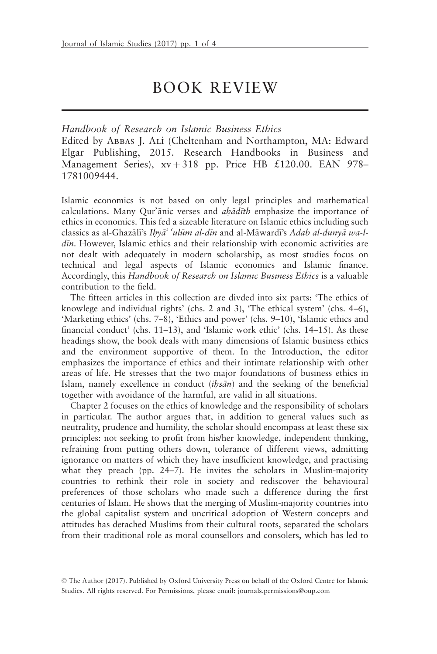## BOOK REVIEW

Handbook of Research on Islamic Business Ethics Edited by ABBAS J. ALI (Cheltenham and Northampton, MA: Edward Elgar Publishing, 2015. Research Handbooks in Business and Management Series),  $xy + 318$  pp. Price HB £120.00. EAN 978-1781009444.

Islamic economics is not based on only legal principles and mathematical calculations. Many Qur'anic verses and *ahadith* emphasize the importance of ethics in economics. This fed a sizeable literature on Islamic ethics including such classics as al-Ghazālī's Ihyā' 'ulūm al-dīn and al-Māwardī's Adab al-dunyā wa-l $d\bar{m}$ . However, Islamic ethics and their relationship with economic activities are not dealt with adequately in modern scholarship, as most studies focus on technical and legal aspects of Islamic economics and Islamic finance. Accordingly, this Handbook of Research on Islamıc Busıness Ethics is a valuable contribution to the field.

The fifteen articles in this collection are divded into six parts: 'The ethics of knowlege and individual rights' (chs. 2 and 3), 'The ethical system' (chs. 4–6), 'Marketing ethics' (chs. 7–8), 'Ethics and power' (chs. 9–10), 'Islamic ethics and financial conduct' (chs. 11–13), and 'Islamic work ethic' (chs. 14–15). As these headings show, the book deals with many dimensions of Islamic business ethics and the environment supportive of them. In the Introduction, the editor emphasizes the importance ef ethics and their intimate relationship with other areas of life. He stresses that the two major foundations of business ethics in Islam, namely excellence in conduct  $(ihs\bar{a}n)$  and the seeking of the beneficial together with avoidance of the harmful, are valid in all situations.

Chapter 2 focuses on the ethics of knowledge and the responsibility of scholars in particular. The author argues that, in addition to general values such as neutrality, prudence and humility, the scholar should encompass at least these six principles: not seeking to profit from his/her knowledge, independent thinking, refraining from putting others down, tolerance of different views, admitting ignorance on matters of which they have insufficient knowledge, and practising what they preach (pp. 24–7). He invites the scholars in Muslim-majority countries to rethink their role in society and rediscover the behavioural preferences of those scholars who made such a difference during the first centuries of Islam. He shows that the merging of Muslim-majority countries into the global capitalist system and uncritical adoption of Western concepts and attitudes has detached Muslims from their cultural roots, separated the scholars from their traditional role as moral counsellors and consolers, which has led to

<sup>©</sup> The Author (2017). Published by Oxford University Press on behalf of the Oxford Centre for Islamic Studies. All rights reserved. For Permissions, please email: journals.permissions@oup.com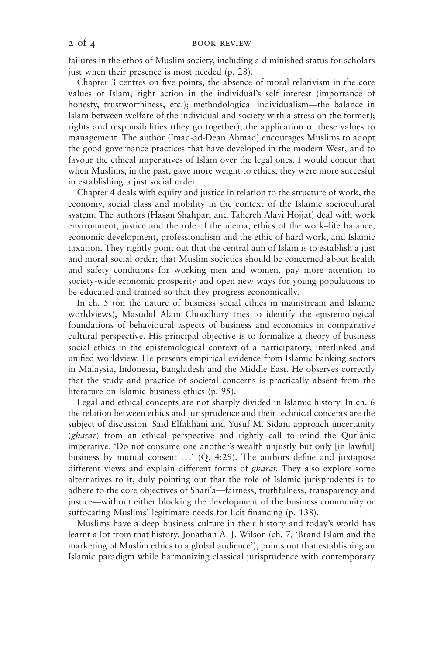failures in the ethos of Muslim society, including a diminished status for scholars just when their presence is most needed (p. 28).

Chapter 3 centres on five points; the absence of moral relativism in the core values of Islam; right action in the individual's self interest (importance of honesty, trustworthiness, etc.); methodological individualism—the balance in Islam between welfare of the individual and society with a stress on the former); rights and responsibilities (they go together); the application of these values to management. The author (Imad-ad-Dean Ahmad) encourages Muslims to adopt the good governance practices that have developed in the modern West, and to favour the ethical imperatives of Islam over the legal ones. I would concur that when Muslims, in the past, gave more weight to ethics, they were more succesful in establishing a just social order.

Chapter 4 deals with equity and justice in relation to the structure of work, the economy, social class and mobility in the context of the Islamic sociocultural system. The authors (Hasan Shahpari and Tahereh Alavi Hojjat) deal with work environment, justice and the role of the ulema, ethics of the work–life balance, economic development, professionalism and the ethic of hard work, and Islamic taxation. They rightly point out that the central aim of Islam is to establish a just and moral social order; that Muslim societies should be concerned about health and safety conditions for working men and women, pay more attention to society-wide economic prosperity and open new ways for young populations to be educated and trained so that they progress economically.

In ch. 5 (on the nature of business social ethics in mainstream and Islamic worldviews), Masudul Alam Choudhury tries to identify the epistemological foundations of behavioural aspects of business and economics in comparative cultural perspective. His principal objective is to formalize a theory of business social ethics in the epistemological context of a participatory, interlinked and unified worldview. He presents empirical evidence from Islamic banking sectors in Malaysia, Indonesia, Bangladesh and the Middle East. He observes correctly that the study and practice of societal concerns is practically absent from the literature on Islamic business ethics (p. 95).

Legal and ethical concepts are not sharply divided in Islamic history. In ch. 6 the relation between ethics and jurisprudence and their technical concepts are the subject of discussion. Said Elfakhani and Yusuf M. Sidani approach uncertanity  $(gharar)$  from an ethical perspective and rightly call to mind the Qur'anic imperative: 'Do not consume one another's wealth unjustly but only [in lawful] business by mutual consent ...' (Q. 4:29). The authors define and juxtapose different views and explain different forms of *gharar*. They also explore some alternatives to it, duly pointing out that the role of Islamic jurisprudents is to adhere to the core objectives of Shari'a—fairness, truthfulness, transparency and justice—without either blocking the development of the business community or suffocating Muslims' legitimate needs for licit financing (p. 138).

Muslims have a deep business culture in their history and today's world has learnt a lot from that history. Jonathan A. J. Wilson (ch. 7, 'Brand Islam and the marketing of Muslim ethics to a global audience'), points out that establishing an Islamic paradigm while harmonizing classical jurisprudence with contemporary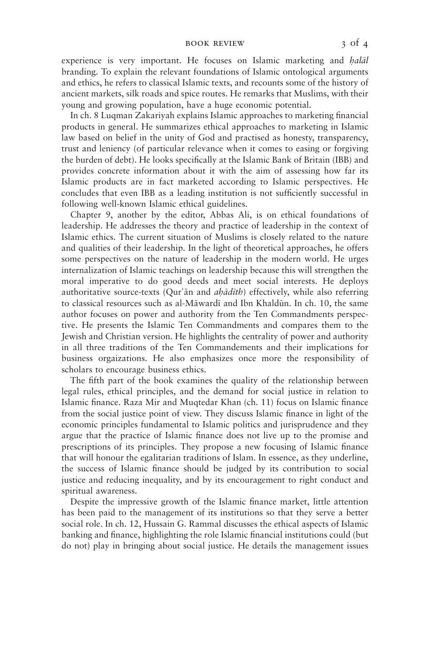## book review 3 of 4

experience is very important. He focuses on Islamic marketing and *halal* branding. To explain the relevant foundations of Islamic ontological arguments and ethics, he refers to classical Islamic texts, and recounts some of the history of ancient markets, silk roads and spice routes. He remarks that Muslims, with their young and growing population, have a huge economic potential.

In ch. 8 Luqman Zakariyah explains Islamic approaches to marketing financial products in general. He summarizes ethical approaches to marketing in Islamic law based on belief in the unity of God and practised as honesty, transparency, trust and leniency (of particular relevance when it comes to easing or forgiving the burden of debt). He looks specifically at the Islamic Bank of Britain (IBB) and provides concrete information about it with the aim of assessing how far its Islamic products are in fact marketed according to Islamic perspectives. He concludes that even IBB as a leading institution is not sufficiently successful in following well-known Islamic ethical guidelines.

Chapter 9, another by the editor, Abbas Ali, is on ethical foundations of leadership. He addresses the theory and practice of leadership in the context of Islamic ethics. The current situation of Muslims is closely related to the nature and qualities of their leadership. In the light of theoretical approaches, he offers some perspectives on the nature of leadership in the modern world. He urges internalization of Islamic teachings on leadership because this will strengthen the moral imperative to do good deeds and meet social interests. He deploys authoritative source-texts (Qur'an and  $ab\bar{a}d\bar{t}$ ) effectively, while also referring to classical resources such as al-Māwardī and Ibn Khaldūn. In ch. 10, the same author focuses on power and authority from the Ten Commandments perspective. He presents the Islamic Ten Commandments and compares them to the Jewish and Christian version. He highlights the centrality of power and authority in all three traditions of the Ten Commandements and their implications for business orgaizations. He also emphasizes once more the responsibility of scholars to encourage business ethics.

The fifth part of the book examines the quality of the relationship between legal rules, ethical principles, and the demand for social justice in relation to Islamic finance. Raza Mir and Muqtedar Khan (ch. 11) focus on Islamic finance from the social justice point of view. They discuss Islamic finance in light of the economic principles fundamental to Islamic politics and jurisprudence and they argue that the practice of Islamic finance does not live up to the promise and prescriptions of its principles. They propose a new focusing of Islamic finance that will honour the egalitarian traditions of Islam. In essence, as they underline, the success of Islamic finance should be judged by its contribution to social justice and reducing inequality, and by its encouragement to right conduct and spiritual awareness.

Despite the impressive growth of the Islamic finance market, little attention has been paid to the management of its institutions so that they serve a better social role. In ch. 12, Hussain G. Rammal discusses the ethical aspects of Islamic banking and finance, highlighting the role Islamic financial institutions could (but do not) play in bringing about social justice. He details the management issues